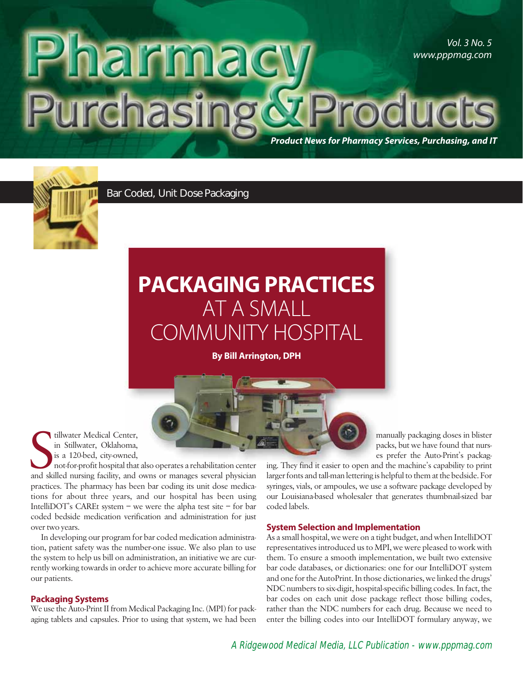## Vol. 3 No. 5 **arma** www.pppmag.com urchasing **Product News for Pharmacy Services, Purchasing, and IT**



Bar Coded, Unit Dose Packaging

# **PACKAGING PRACTICES** AT A SMALL COMMUNITY HOSPITAL

**By Bill Arrington, DPH**

tillwater Medical Center, in Stillwater, Oklahoma, is a 120-bed, city-owned,

tillwater Medical Center,<br>in Stillwater, Oklahoma,<br>is a 120-bed, city-owned,<br>not-for-profit hospital that also operates a rehabilitation center<br>and skilled nursing facility, and owns or manages several physician not-for-profit hospital that also operates a rehabilitation center practices. The pharmacy has been bar coding its unit dose medications for about three years, and our hospital has been using IntelliDOT's CAREt system – we were the alpha test site – for bar coded bedside medication verification and administration for just over two years.

In developing our program for bar coded medication administration, patient safety was the number-one issue. We also plan to use the system to help us bill on administration, an initiative we are currently working towards in order to achieve more accurate billing for our patients.

### **Packaging Systems**

We use the Auto-Print II from Medical Packaging Inc. (MPI) for packaging tablets and capsules. Prior to using that system, we had been manually packaging doses in blister packs, but we have found that nurses prefer the Auto-Print's packag-

ing. They find it easier to open and the machine's capability to print larger fonts and tall-man lettering is helpful to them at the bedside. For syringes, vials, or ampoules, we use a software package developed by our Louisiana-based wholesaler that generates thumbnail-sized bar coded labels.

#### **System Selection and Implementation**

As a small hospital, we were on a tight budget, and when IntelliDOT representatives introduced us to MPI, we were pleased to work with them. To ensure a smooth implementation, we built two extensive bar code databases, or dictionaries: one for our IntelliDOT system and one for the AutoPrint. In those dictionaries, we linked the drugs' NDC numbers to six-digit, hospital-specific billing codes. In fact, the bar codes on each unit dose package reflect those billing codes, rather than the NDC numbers for each drug. Because we need to enter the billing codes into our IntelliDOT formulary anyway, we